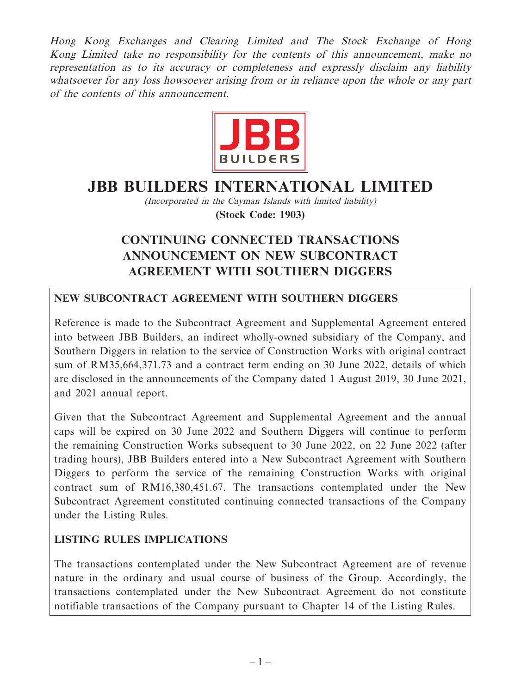Hong Kong Exchanges and Clearing Limited and The Stock Exchange of Hong Kong Limited take no responsibility for the contents of this announcement, make no representation as to its accuracy or completeness and expressly disclaim any liability whatsoever for any loss howsoever arising from or in reliance upon the whole or any part of the contents of this announcement.



# **JBB BUILDERS INTERNATIONAL LIMITED**

(Incorporated in the Cayman Islands with limited liability) **(Stock Code: 1903)**

## **CONTINUING CONNECTED TRANSACTIONS ANNOUNCEMENT ON NEW SUBCONTRACT AGREEMENT WITH SOUTHERN DIGGERS**

### **NEW SUBCONTRACT AGREEMENT WITH SOUTHERN DIGGERS**

Reference is made to the Subcontract Agreement and Supplemental Agreement entered into between JBB Builders, an indirect wholly-owned subsidiary of the Company, and Southern Diggers in relation to the service of Construction Works with original contract sum of RM35,664,371.73 and a contract term ending on 30 June 2022, details of which are disclosed in the announcements of the Company dated 1 August 2019, 30 June 2021, and 2021 annual report.

Given that the Subcontract Agreement and Supplemental Agreement and the annual caps will be expired on 30 June 2022 and Southern Diggers will continue to perform the remaining Construction Works subsequent to 30 June 2022, on 22 June 2022 (after trading hours), JBB Builders entered into a New Subcontract Agreement with Southern Diggers to perform the service of the remaining Construction Works with original contract sum of RM16,380,451.67. The transactions contemplated under the New Subcontract Agreement constituted continuing connected transactions of the Company under the Listing Rules.

#### **LISTING RULES IMPLICATIONS**

The transactions contemplated under the New Subcontract Agreement are of revenue nature in the ordinary and usual course of business of the Group. Accordingly, the transactions contemplated under the New Subcontract Agreement do not constitute notifiable transactions of the Company pursuant to Chapter 14 of the Listing Rules.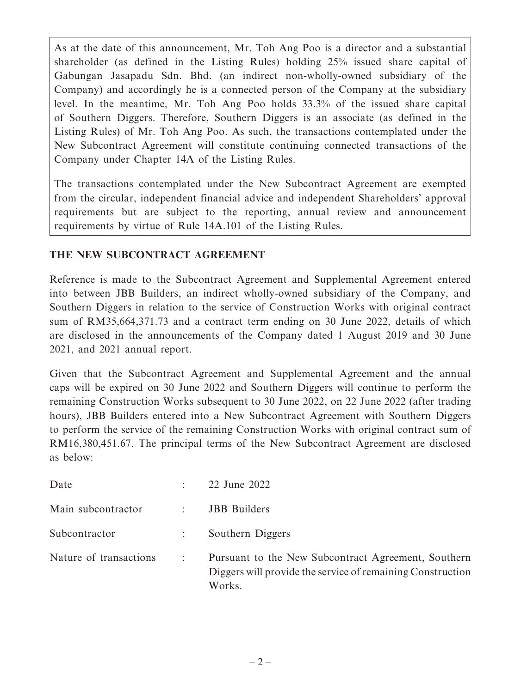As at the date of this announcement, Mr. Toh Ang Poo is a director and a substantial shareholder (as defined in the Listing Rules) holding 25% issued share capital of Gabungan Jasapadu Sdn. Bhd. (an indirect non-wholly-owned subsidiary of the Company) and accordingly he is a connected person of the Company at the subsidiary level. In the meantime, Mr. Toh Ang Poo holds 33.3% of the issued share capital of Southern Diggers. Therefore, Southern Diggers is an associate (as defined in the Listing Rules) of Mr. Toh Ang Poo. As such, the transactions contemplated under the New Subcontract Agreement will constitute continuing connected transactions of the Company under Chapter 14A of the Listing Rules.

The transactions contemplated under the New Subcontract Agreement are exempted from the circular, independent financial advice and independent Shareholders' approval requirements but are subject to the reporting, annual review and announcement requirements by virtue of Rule 14A.101 of the Listing Rules.

#### **THE NEW SUBCONTRACT AGREEMENT**

Reference is made to the Subcontract Agreement and Supplemental Agreement entered into between JBB Builders, an indirect wholly-owned subsidiary of the Company, and Southern Diggers in relation to the service of Construction Works with original contract sum of RM35,664,371.73 and a contract term ending on 30 June 2022, details of which are disclosed in the announcements of the Company dated 1 August 2019 and 30 June 2021, and 2021 annual report.

Given that the Subcontract Agreement and Supplemental Agreement and the annual caps will be expired on 30 June 2022 and Southern Diggers will continue to perform the remaining Construction Works subsequent to 30 June 2022, on 22 June 2022 (after trading hours), JBB Builders entered into a New Subcontract Agreement with Southern Diggers to perform the service of the remaining Construction Works with original contract sum of RM16,380,451.67. The principal terms of the New Subcontract Agreement are disclosed as below:

| Date                   |                      | 22 June 2022                                                                                                                |
|------------------------|----------------------|-----------------------------------------------------------------------------------------------------------------------------|
| Main subcontractor     | $\mathbb{R}^n$       | <b>JBB</b> Builders                                                                                                         |
| Subcontractor          |                      | Southern Diggers                                                                                                            |
| Nature of transactions | $\ddot{\phantom{a}}$ | Pursuant to the New Subcontract Agreement, Southern<br>Diggers will provide the service of remaining Construction<br>Works. |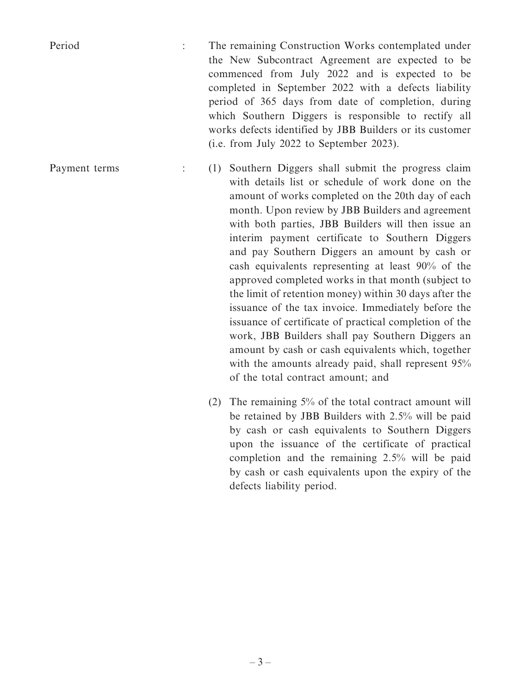Period : The remaining Construction Works contemplated under the New Subcontract Agreement are expected to be commenced from July 2022 and is expected to be completed in September 2022 with a defects liability period of 365 days from date of completion, during which Southern Diggers is responsible to rectify all works defects identified by JBB Builders or its customer (i.e. from July 2022 to September 2023).

Payment terms : (1) Southern Diggers shall submit the progress claim with details list or schedule of work done on the amount of works completed on the 20th day of each month. Upon review by JBB Builders and agreement with both parties, JBB Builders will then issue an interim payment certificate to Southern Diggers and pay Southern Diggers an amount by cash or cash equivalents representing at least 90% of the approved completed works in that month (subject to the limit of retention money) within 30 days after the issuance of the tax invoice. Immediately before the issuance of certificate of practical completion of the work, JBB Builders shall pay Southern Diggers an amount by cash or cash equivalents which, together with the amounts already paid, shall represent  $95%$ of the total contract amount; and

> (2) The remaining 5% of the total contract amount will be retained by JBB Builders with 2.5% will be paid by cash or cash equivalents to Southern Diggers upon the issuance of the certificate of practical completion and the remaining 2.5% will be paid by cash or cash equivalents upon the expiry of the defects liability period.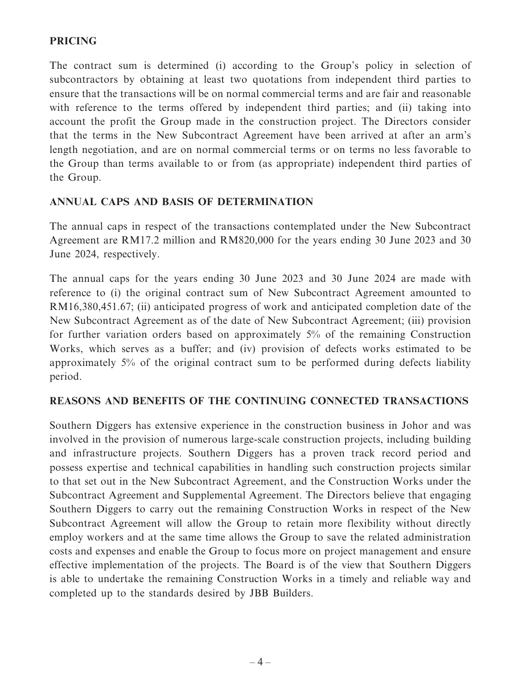#### **PRICING**

The contract sum is determined (i) according to the Group's policy in selection of subcontractors by obtaining at least two quotations from independent third parties to ensure that the transactions will be on normal commercial terms and are fair and reasonable with reference to the terms offered by independent third parties; and (ii) taking into account the profit the Group made in the construction project. The Directors consider that the terms in the New Subcontract Agreement have been arrived at after an arm's length negotiation, and are on normal commercial terms or on terms no less favorable to the Group than terms available to or from (as appropriate) independent third parties of the Group.

#### **ANNUAL CAPS AND BASIS OF DETERMINATION**

The annual caps in respect of the transactions contemplated under the New Subcontract Agreement are RM17.2 million and RM820,000 for the years ending 30 June 2023 and 30 June 2024, respectively.

The annual caps for the years ending 30 June 2023 and 30 June 2024 are made with reference to (i) the original contract sum of New Subcontract Agreement amounted to RM16,380,451.67; (ii) anticipated progress of work and anticipated completion date of the New Subcontract Agreement as of the date of New Subcontract Agreement; (iii) provision for further variation orders based on approximately 5% of the remaining Construction Works, which serves as a buffer; and (iv) provision of defects works estimated to be approximately 5% of the original contract sum to be performed during defects liability period.

#### **REASONS AND BENEFITS OF THE CONTINUING CONNECTED TRANSACTIONS**

Southern Diggers has extensive experience in the construction business in Johor and was involved in the provision of numerous large-scale construction projects, including building and infrastructure projects. Southern Diggers has a proven track record period and possess expertise and technical capabilities in handling such construction projects similar to that set out in the New Subcontract Agreement, and the Construction Works under the Subcontract Agreement and Supplemental Agreement. The Directors believe that engaging Southern Diggers to carry out the remaining Construction Works in respect of the New Subcontract Agreement will allow the Group to retain more flexibility without directly employ workers and at the same time allows the Group to save the related administration costs and expenses and enable the Group to focus more on project management and ensure effective implementation of the projects. The Board is of the view that Southern Diggers is able to undertake the remaining Construction Works in a timely and reliable way and completed up to the standards desired by JBB Builders.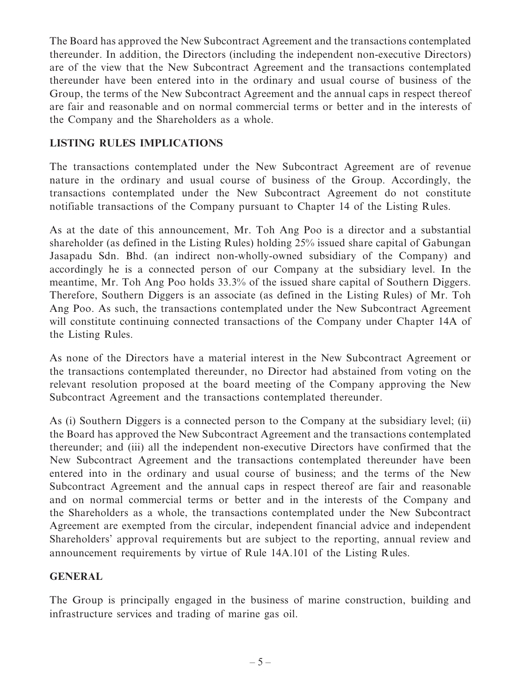The Board has approved the New Subcontract Agreement and the transactions contemplated thereunder. In addition, the Directors (including the independent non-executive Directors) are of the view that the New Subcontract Agreement and the transactions contemplated thereunder have been entered into in the ordinary and usual course of business of the Group, the terms of the New Subcontract Agreement and the annual caps in respect thereof are fair and reasonable and on normal commercial terms or better and in the interests of the Company and the Shareholders as a whole.

#### **LISTING RULES IMPLICATIONS**

The transactions contemplated under the New Subcontract Agreement are of revenue nature in the ordinary and usual course of business of the Group. Accordingly, the transactions contemplated under the New Subcontract Agreement do not constitute notifiable transactions of the Company pursuant to Chapter 14 of the Listing Rules.

As at the date of this announcement, Mr. Toh Ang Poo is a director and a substantial shareholder (as defined in the Listing Rules) holding 25% issued share capital of Gabungan Jasapadu Sdn. Bhd. (an indirect non-wholly-owned subsidiary of the Company) and accordingly he is a connected person of our Company at the subsidiary level. In the meantime, Mr. Toh Ang Poo holds 33.3% of the issued share capital of Southern Diggers. Therefore, Southern Diggers is an associate (as defined in the Listing Rules) of Mr. Toh Ang Poo. As such, the transactions contemplated under the New Subcontract Agreement will constitute continuing connected transactions of the Company under Chapter 14A of the Listing Rules.

As none of the Directors have a material interest in the New Subcontract Agreement or the transactions contemplated thereunder, no Director had abstained from voting on the relevant resolution proposed at the board meeting of the Company approving the New Subcontract Agreement and the transactions contemplated thereunder.

As (i) Southern Diggers is a connected person to the Company at the subsidiary level; (ii) the Board has approved the New Subcontract Agreement and the transactions contemplated thereunder; and (iii) all the independent non-executive Directors have confirmed that the New Subcontract Agreement and the transactions contemplated thereunder have been entered into in the ordinary and usual course of business; and the terms of the New Subcontract Agreement and the annual caps in respect thereof are fair and reasonable and on normal commercial terms or better and in the interests of the Company and the Shareholders as a whole, the transactions contemplated under the New Subcontract Agreement are exempted from the circular, independent financial advice and independent Shareholders' approval requirements but are subject to the reporting, annual review and announcement requirements by virtue of Rule 14A.101 of the Listing Rules.

#### **GENERAL**

The Group is principally engaged in the business of marine construction, building and infrastructure services and trading of marine gas oil.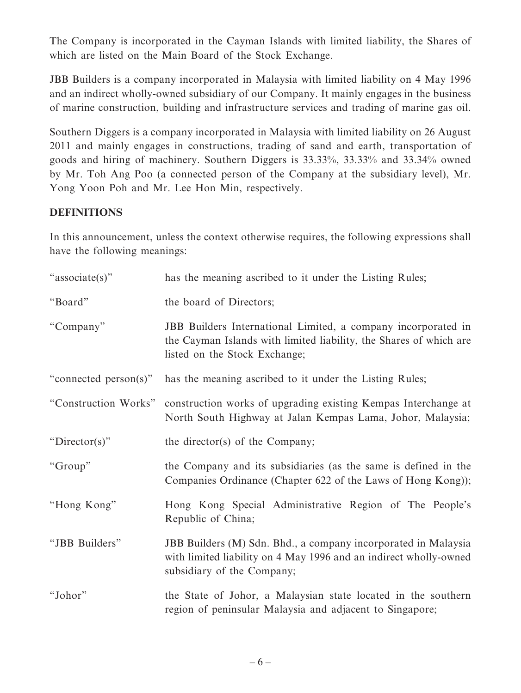The Company is incorporated in the Cayman Islands with limited liability, the Shares of which are listed on the Main Board of the Stock Exchange.

JBB Builders is a company incorporated in Malaysia with limited liability on 4 May 1996 and an indirect wholly-owned subsidiary of our Company. It mainly engages in the business of marine construction, building and infrastructure services and trading of marine gas oil.

Southern Diggers is a company incorporated in Malaysia with limited liability on 26 August 2011 and mainly engages in constructions, trading of sand and earth, transportation of goods and hiring of machinery. Southern Diggers is 33.33%, 33.33% and 33.34% owned by Mr. Toh Ang Poo (a connected person of the Company at the subsidiary level), Mr. Yong Yoon Poh and Mr. Lee Hon Min, respectively.

#### **DEFINITIONS**

In this announcement, unless the context otherwise requires, the following expressions shall have the following meanings:

| "associate(s)"        | has the meaning ascribed to it under the Listing Rules;                                                                                                              |
|-----------------------|----------------------------------------------------------------------------------------------------------------------------------------------------------------------|
| "Board"               | the board of Directors;                                                                                                                                              |
| "Company"             | JBB Builders International Limited, a company incorporated in<br>the Cayman Islands with limited liability, the Shares of which are<br>listed on the Stock Exchange; |
| "connected person(s)" | has the meaning ascribed to it under the Listing Rules;                                                                                                              |
| "Construction Works"  | construction works of upgrading existing Kempas Interchange at<br>North South Highway at Jalan Kempas Lama, Johor, Malaysia;                                         |
| "Director(s)"         | the director(s) of the Company;                                                                                                                                      |
| "Group"               | the Company and its subsidiaries (as the same is defined in the<br>Companies Ordinance (Chapter 622 of the Laws of Hong Kong));                                      |
| "Hong Kong"           | Hong Kong Special Administrative Region of The People's<br>Republic of China;                                                                                        |
| "JBB Builders"        | JBB Builders (M) Sdn. Bhd., a company incorporated in Malaysia<br>with limited liability on 4 May 1996 and an indirect wholly-owned<br>subsidiary of the Company;    |
| "Johor"               | the State of Johor, a Malaysian state located in the southern<br>region of peninsular Malaysia and adjacent to Singapore;                                            |